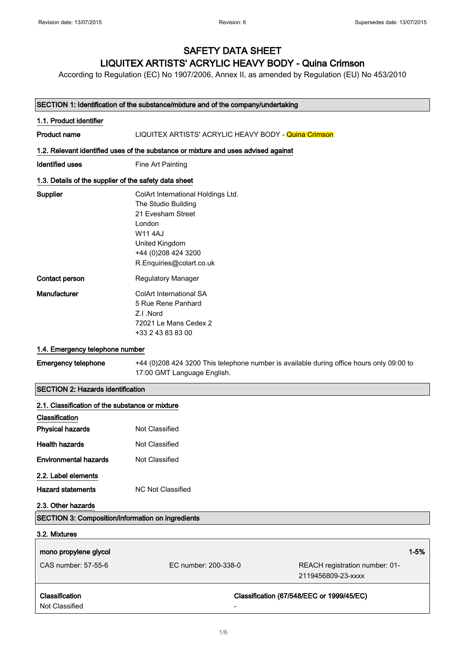# SAFETY DATA SHEET

## LIQUITEX ARTISTS' ACRYLIC HEAVY BODY - Quina Crimson

According to Regulation (EC) No 1907/2006, Annex II, as amended by Regulation (EU) No 453/2010

| SECTION 1: Identification of the substance/mixture and of the company/undertaking |                                                                                                                                                                                  |
|-----------------------------------------------------------------------------------|----------------------------------------------------------------------------------------------------------------------------------------------------------------------------------|
| 1.1. Product identifier                                                           |                                                                                                                                                                                  |
| <b>Product name</b>                                                               | LIQUITEX ARTISTS' ACRYLIC HEAVY BODY - Quina Crimson                                                                                                                             |
|                                                                                   | 1.2. Relevant identified uses of the substance or mixture and uses advised against                                                                                               |
| Identified uses                                                                   | Fine Art Painting                                                                                                                                                                |
| 1.3. Details of the supplier of the safety data sheet                             |                                                                                                                                                                                  |
| Supplier                                                                          | ColArt International Holdings Ltd.<br>The Studio Building<br>21 Evesham Street<br>London<br><b>W11 4AJ</b><br>United Kingdom<br>+44 (0) 208 424 3200<br>R.Enquiries@colart.co.uk |
| Contact person                                                                    | Regulatory Manager                                                                                                                                                               |
| Manufacturer                                                                      | <b>ColArt International SA</b><br>5 Rue Rene Panhard<br>Z.I.Nord<br>72021 Le Mans Cedex 2<br>+33 2 43 83 83 00                                                                   |
| 1.4. Emergency telephone number                                                   |                                                                                                                                                                                  |
| <b>Emergency telephone</b>                                                        | +44 (0)208 424 3200 This telephone number is available during office hours only 09:00 to<br>17:00 GMT Language English.                                                          |
| <b>SECTION 2: Hazards identification</b>                                          |                                                                                                                                                                                  |
| 2.1. Classification of the substance or mixture<br>Classification                 |                                                                                                                                                                                  |
| <b>Physical hazards</b>                                                           | Not Classified                                                                                                                                                                   |
| <b>Health hazards</b>                                                             | Not Classified                                                                                                                                                                   |
| <b>Environmental hazards</b>                                                      | Not Classified                                                                                                                                                                   |
| 2.2. Label elements                                                               |                                                                                                                                                                                  |
| <b>Hazard statements</b>                                                          | <b>NC Not Classified</b>                                                                                                                                                         |
| 2.3. Other hazards                                                                |                                                                                                                                                                                  |
| <b>SECTION 3: Composition/information on ingredients</b>                          |                                                                                                                                                                                  |

| 3.2. Mixtures         |                      |                                                      |  |
|-----------------------|----------------------|------------------------------------------------------|--|
| mono propylene glycol |                      | $1 - 5%$                                             |  |
| CAS number: 57-55-6   | EC number: 200-338-0 | REACH registration number: 01-<br>2119456809-23-xxxx |  |
| <b>Classification</b> |                      | Classification (67/548/EEC or 1999/45/EC)            |  |
| Not Classified        |                      |                                                      |  |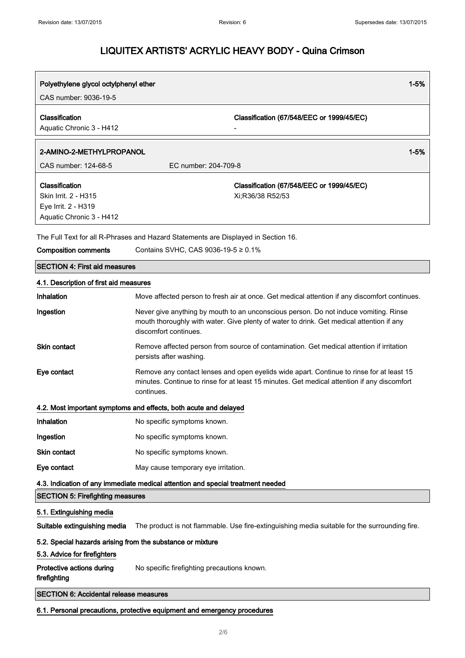| Polyethylene glycol octylphenyl ether                                                     |                                                                                    | $1 - 5%$ |
|-------------------------------------------------------------------------------------------|------------------------------------------------------------------------------------|----------|
| CAS number: 9036-19-5                                                                     |                                                                                    |          |
| Classification<br>Aquatic Chronic 3 - H412                                                | Classification (67/548/EEC or 1999/45/EC)                                          |          |
| 2-AMINO-2-METHYLPROPANOL                                                                  |                                                                                    | $1 - 5%$ |
| CAS number: 124-68-5                                                                      | EC number: 204-709-8                                                               |          |
| Classification<br>Skin Irrit. 2 - H315<br>Eye Irrit. 2 - H319<br>Aquatic Chronic 3 - H412 | Classification (67/548/EEC or 1999/45/EC)<br>Xi:R36/38 R52/53                      |          |
|                                                                                           | The Full Text for all R-Phrases and Hazard Statements are Displayed in Section 16. |          |

| <b>Composition comments</b>                                                     | Contains SVHC, CAS 9036-19-5 ≥ 0.1%                                                                                                                                                                       |  |
|---------------------------------------------------------------------------------|-----------------------------------------------------------------------------------------------------------------------------------------------------------------------------------------------------------|--|
| <b>SECTION 4: First aid measures</b>                                            |                                                                                                                                                                                                           |  |
| 4.1. Description of first aid measures                                          |                                                                                                                                                                                                           |  |
| Inhalation                                                                      | Move affected person to fresh air at once. Get medical attention if any discomfort continues.                                                                                                             |  |
| Ingestion                                                                       | Never give anything by mouth to an unconscious person. Do not induce vomiting. Rinse<br>mouth thoroughly with water. Give plenty of water to drink. Get medical attention if any<br>discomfort continues. |  |
| <b>Skin contact</b>                                                             | Remove affected person from source of contamination. Get medical attention if irritation<br>persists after washing.                                                                                       |  |
| Eye contact                                                                     | Remove any contact lenses and open eyelids wide apart. Continue to rinse for at least 15<br>minutes. Continue to rinse for at least 15 minutes. Get medical attention if any discomfort<br>continues.     |  |
|                                                                                 | 4.2. Most important symptoms and effects, both acute and delayed                                                                                                                                          |  |
| Inhalation                                                                      | No specific symptoms known.                                                                                                                                                                               |  |
| Ingestion                                                                       | No specific symptoms known.                                                                                                                                                                               |  |
| Skin contact                                                                    | No specific symptoms known.                                                                                                                                                                               |  |
| Eye contact                                                                     | May cause temporary eye irritation.                                                                                                                                                                       |  |
| 4.3. Indication of any immediate medical attention and special treatment needed |                                                                                                                                                                                                           |  |
| <b>SECTION 5: Firefighting measures</b>                                         |                                                                                                                                                                                                           |  |
| 5.1. Extinguishing media                                                        |                                                                                                                                                                                                           |  |
| Suitable extinguishing media                                                    | The product is not flammable. Use fire-extinguishing media suitable for the surrounding fire.                                                                                                             |  |
| 5.2. Special hazards arising from the substance or mixture                      |                                                                                                                                                                                                           |  |
| 5.3. Advice for firefighters                                                    |                                                                                                                                                                                                           |  |
| Protective actions during<br>firefighting                                       | No specific firefighting precautions known.                                                                                                                                                               |  |
| <b>SECTION 6: Accidental release measures</b>                                   |                                                                                                                                                                                                           |  |

6.1. Personal precautions, protective equipment and emergency procedures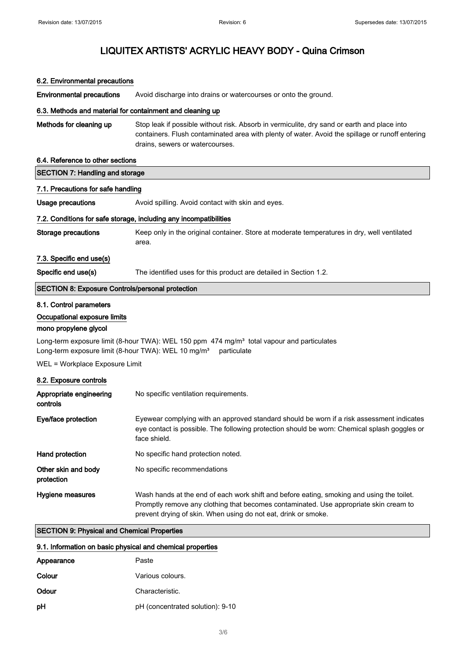#### 6.2. Environmental precautions

Environmental precautions Avoid discharge into drains or watercourses or onto the ground.

#### 6.3. Methods and material for containment and cleaning up

Methods for cleaning up Stop leak if possible without risk. Absorb in vermiculite, dry sand or earth and place into containers. Flush contaminated area with plenty of water. Avoid the spillage or runoff entering drains, sewers or watercourses.

#### 6.4. Reference to other sections

| <b>SECTION 7: Handling and storage</b>                            |                                                                                                      |  |
|-------------------------------------------------------------------|------------------------------------------------------------------------------------------------------|--|
| 7.1. Precautions for safe handling                                |                                                                                                      |  |
| Usage precautions                                                 | Avoid spilling. Avoid contact with skin and eves.                                                    |  |
| 7.2. Conditions for safe storage, including any incompatibilities |                                                                                                      |  |
| Storage precautions                                               | Keep only in the original container. Store at moderate temperatures in dry, well ventilated<br>area. |  |
| 7.3. Specific end use(s)                                          |                                                                                                      |  |
| Specific end use(s)                                               | The identified uses for this product are detailed in Section 1.2.                                    |  |
| <b>SECTION 8: Exposure Controls/personal protection</b>           |                                                                                                      |  |

#### 8.1. Control parameters

#### Occupational exposure limits

#### mono propylene glycol

Long-term exposure limit (8-hour TWA): WEL 150 ppm 474 mg/m<sup>3</sup> total vapour and particulates Long-term exposure limit (8-hour TWA): WEL 10 mg/m<sup>3</sup> particulate

WEL = Workplace Exposure Limit

#### 8.2. Exposure controls

| Appropriate engineering<br>controls | No specific ventilation requirements.                                                                                                                                                                                                                |
|-------------------------------------|------------------------------------------------------------------------------------------------------------------------------------------------------------------------------------------------------------------------------------------------------|
| Eye/face protection                 | Eyewear complying with an approved standard should be worn if a risk assessment indicates<br>eye contact is possible. The following protection should be worn: Chemical splash goggles or<br>face shield.                                            |
| Hand protection                     | No specific hand protection noted.                                                                                                                                                                                                                   |
| Other skin and body<br>protection   | No specific recommendations                                                                                                                                                                                                                          |
| Hygiene measures                    | Wash hands at the end of each work shift and before eating, smoking and using the toilet.<br>Promptly remove any clothing that becomes contaminated. Use appropriate skin cream to<br>prevent drying of skin. When using do not eat, drink or smoke. |

#### SECTION 9: Physical and Chemical Properties

#### 9.1. Information on basic physical and chemical properties

| Appearance | Paste                            |
|------------|----------------------------------|
| Colour     | Various colours.                 |
| Odour      | Characteristic.                  |
| рH         | pH (concentrated solution): 9-10 |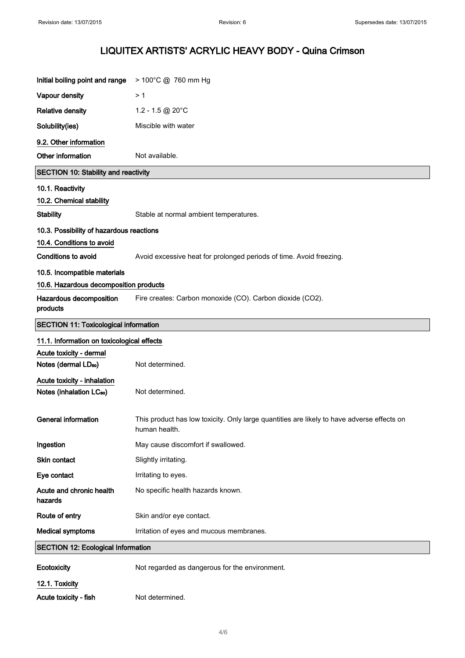| Initial boiling point and range                                     | > 100°C @ 760 mm Hg                                                                                         |
|---------------------------------------------------------------------|-------------------------------------------------------------------------------------------------------------|
| Vapour density                                                      | >1                                                                                                          |
| <b>Relative density</b>                                             | 1.2 - 1.5 @ 20°C                                                                                            |
| Solubility(ies)                                                     | Miscible with water                                                                                         |
| 9.2. Other information                                              |                                                                                                             |
| Other information                                                   | Not available.                                                                                              |
| <b>SECTION 10: Stability and reactivity</b>                         |                                                                                                             |
| 10.1. Reactivity<br>10.2. Chemical stability                        |                                                                                                             |
| <b>Stability</b>                                                    | Stable at normal ambient temperatures.                                                                      |
| 10.3. Possibility of hazardous reactions                            |                                                                                                             |
| 10.4. Conditions to avoid                                           |                                                                                                             |
| Conditions to avoid                                                 | Avoid excessive heat for prolonged periods of time. Avoid freezing.                                         |
| 10.5. Incompatible materials                                        |                                                                                                             |
| 10.6. Hazardous decomposition products                              |                                                                                                             |
| Hazardous decomposition<br>products                                 | Fire creates: Carbon monoxide (CO). Carbon dioxide (CO2).                                                   |
| <b>SECTION 11: Toxicological information</b>                        |                                                                                                             |
| 11.1. Information on toxicological effects                          |                                                                                                             |
| Acute toxicity - dermal                                             |                                                                                                             |
| Notes (dermal LD <sub>50</sub> )                                    | Not determined.                                                                                             |
| Acute toxicity - inhalation<br>Notes (inhalation LC <sub>50</sub> ) | Not determined.                                                                                             |
| <b>General information</b>                                          | This product has low toxicity. Only large quantities are likely to have adverse effects on<br>human health. |
| Ingestion                                                           | May cause discomfort if swallowed.                                                                          |
| Skin contact                                                        | Slightly irritating.                                                                                        |
| Eye contact                                                         | Irritating to eyes.                                                                                         |
| Acute and chronic health<br>hazards                                 | No specific health hazards known.                                                                           |
| Route of entry                                                      | Skin and/or eye contact.                                                                                    |
| <b>Medical symptoms</b>                                             | Irritation of eyes and mucous membranes.                                                                    |
| <b>SECTION 12: Ecological Information</b>                           |                                                                                                             |
| Ecotoxicity                                                         | Not regarded as dangerous for the environment.                                                              |
| 12.1. Toxicity                                                      |                                                                                                             |
| Acute toxicity - fish                                               | Not determined.                                                                                             |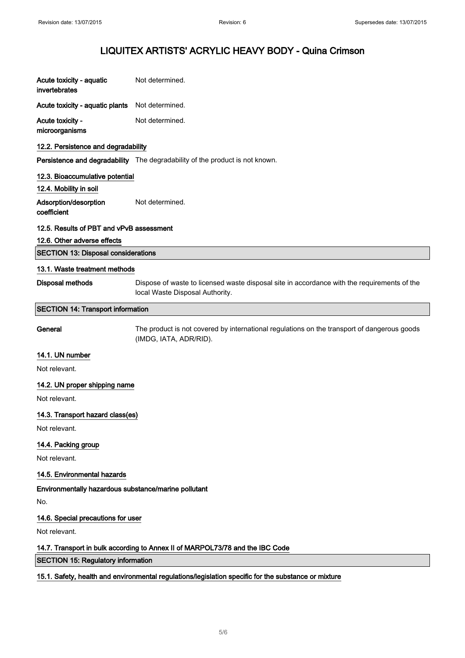| Acute toxicity - aquatic<br>invertebrates                 | Not determined.                                                                                                                |
|-----------------------------------------------------------|--------------------------------------------------------------------------------------------------------------------------------|
| Acute toxicity - aquatic plants                           | Not determined.                                                                                                                |
| Acute toxicity -<br>microorganisms                        | Not determined.                                                                                                                |
| 12.2. Persistence and degradability                       |                                                                                                                                |
|                                                           | Persistence and degradability The degradability of the product is not known.                                                   |
| 12.3. Bioaccumulative potential<br>12.4. Mobility in soil |                                                                                                                                |
| Adsorption/desorption<br>coefficient                      | Not determined.                                                                                                                |
| 12.5. Results of PBT and vPvB assessment                  |                                                                                                                                |
| 12.6. Other adverse effects                               |                                                                                                                                |
| <b>SECTION 13: Disposal considerations</b>                |                                                                                                                                |
| 13.1. Waste treatment methods                             |                                                                                                                                |
| Disposal methods                                          | Dispose of waste to licensed waste disposal site in accordance with the requirements of the<br>local Waste Disposal Authority. |
| <b>SECTION 14: Transport information</b>                  |                                                                                                                                |
| General                                                   | The product is not covered by international regulations on the transport of dangerous goods<br>(IMDG, IATA, ADR/RID).          |
| 14.1. UN number                                           |                                                                                                                                |
| Not relevant.                                             |                                                                                                                                |
| 14.2. UN proper shipping name                             |                                                                                                                                |
| Not relevant.                                             |                                                                                                                                |
| 14.3. Transport hazard class(es)                          |                                                                                                                                |
| Not relevant.                                             |                                                                                                                                |
| 14.4. Packing group                                       |                                                                                                                                |
| Not relevant.                                             |                                                                                                                                |
| 14.5. Environmental hazards                               |                                                                                                                                |
| Environmentally hazardous substance/marine pollutant      |                                                                                                                                |
| No.                                                       |                                                                                                                                |
| 14.6. Special precautions for user                        |                                                                                                                                |
| Not relevant.                                             |                                                                                                                                |
|                                                           | 14.7. Transport in bulk according to Annex II of MARPOL73/78 and the IBC Code                                                  |

SECTION 15: Regulatory information

#### 15.1. Safety, health and environmental regulations/legislation specific for the substance or mixture